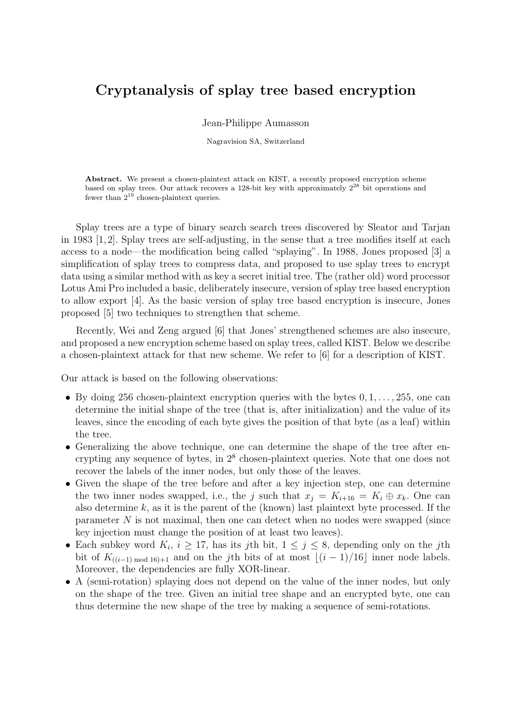## Cryptanalysis of splay tree based encryption

Jean-Philippe Aumasson

Nagravision SA, Switzerland

Abstract. We present a chosen-plaintext attack on KIST, a recently proposed encryption scheme based on splay trees. Our attack recovers a 128-bit key with approximately  $2^{28}$  bit operations and fewer than  $2^{19}$  chosen-plaintext queries.

Splay trees are a type of binary search search trees discovered by Sleator and Tarjan in 1983 [1, 2]. Splay trees are self-adjusting, in the sense that a tree modifies itself at each access to a node—the modification being called "splaying". In 1988, Jones proposed [3] a simplification of splay trees to compress data, and proposed to use splay trees to encrypt data using a similar method with as key a secret initial tree. The (rather old) word processor Lotus Ami Pro included a basic, deliberately insecure, version of splay tree based encryption to allow export [4]. As the basic version of splay tree based encryption is insecure, Jones proposed [5] two techniques to strengthen that scheme.

Recently, Wei and Zeng argued [6] that Jones' strengthened schemes are also insecure, and proposed a new encryption scheme based on splay trees, called KIST. Below we describe a chosen-plaintext attack for that new scheme. We refer to [6] for a description of KIST.

Our attack is based on the following observations:

- By doing 256 chosen-plaintext encryption queries with the bytes  $0, 1, \ldots, 255$ , one can determine the initial shape of the tree (that is, after initialization) and the value of its leaves, since the encoding of each byte gives the position of that byte (as a leaf) within the tree.
- Generalizing the above technique, one can determine the shape of the tree after encrypting any sequence of bytes, in  $2<sup>8</sup>$  chosen-plaintext queries. Note that one does not recover the labels of the inner nodes, but only those of the leaves.
- Given the shape of the tree before and after a key injection step, one can determine the two inner nodes swapped, i.e., the j such that  $x_i = K_{i+16} = K_i \oplus x_k$ . One can also determine  $k$ , as it is the parent of the (known) last plaintext byte processed. If the parameter N is not maximal, then one can detect when no nodes were swapped (since key injection must change the position of at least two leaves).
- Each subkey word  $K_i$ ,  $i \geq 17$ , has its jth bit,  $1 \leq j \leq 8$ , depending only on the jth bit of  $K_{((i-1) \mod 16)+1}$  and on the j<sup>th</sup> bits of at most  $\lfloor (i-1)/16 \rfloor$  inner node labels. Moreover, the dependencies are fully XOR-linear.
- A (semi-rotation) splaying does not depend on the value of the inner nodes, but only on the shape of the tree. Given an initial tree shape and an encrypted byte, one can thus determine the new shape of the tree by making a sequence of semi-rotations.